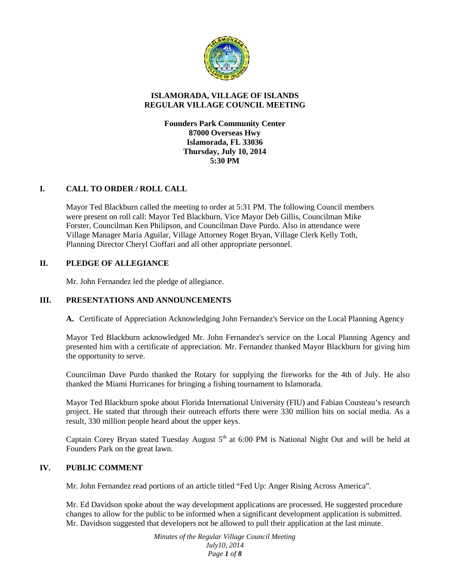

## **ISLAMORADA, VILLAGE OF ISLANDS REGULAR VILLAGE COUNCIL MEETING**

**Founders Park Community Center 87000 Overseas Hwy Islamorada, FL 33036 Thursday, July 10, 2014 5:30 PM**

## **I. CALL TO ORDER / ROLL CALL**

Mayor Ted Blackburn called the meeting to order at 5:31 PM. The following Council members were present on roll call: Mayor Ted Blackburn, Vice Mayor Deb Gillis, Councilman Mike Forster, Councilman Ken Philipson, and Councilman Dave Purdo. Also in attendance were Village Manager Maria Aguilar, Village Attorney Roget Bryan, Village Clerk Kelly Toth, Planning Director Cheryl Cioffari and all other appropriate personnel.

# **II. PLEDGE OF ALLEGIANCE**

Mr. John Fernandez led the pledge of allegiance.

### **III. PRESENTATIONS AND ANNOUNCEMENTS**

**A.** Certificate of Appreciation Acknowledging John Fernandez's Service on the Local Planning Agency

Mayor Ted Blackburn acknowledged Mr. John Fernandez's service on the Local Planning Agency and presented him with a certificate of appreciation. Mr. Fernandez thanked Mayor Blackburn for giving him the opportunity to serve.

Councilman Dave Purdo thanked the Rotary for supplying the fireworks for the 4th of July. He also thanked the Miami Hurricanes for bringing a fishing tournament to Islamorada.

Mayor Ted Blackburn spoke about Florida International University (FIU) and Fabian Cousteau's research project. He stated that through their outreach efforts there were 330 million hits on social media. As a result, 330 million people heard about the upper keys.

Captain Corey Bryan stated Tuesday August  $5<sup>th</sup>$  at 6:00 PM is National Night Out and will be held at Founders Park on the great lawn.

### **IV. PUBLIC COMMENT**

Mr. John Fernandez read portions of an article titled "Fed Up: Anger Rising Across America".

Mr. Ed Davidson spoke about the way development applications are processed. He suggested procedure changes to allow for the public to be informed when a significant development application is submitted. Mr. Davidson suggested that developers not be allowed to pull their application at the last minute.

> *Minutes of the Regular Village Council Meeting July10, 2014 Page 1 of 8*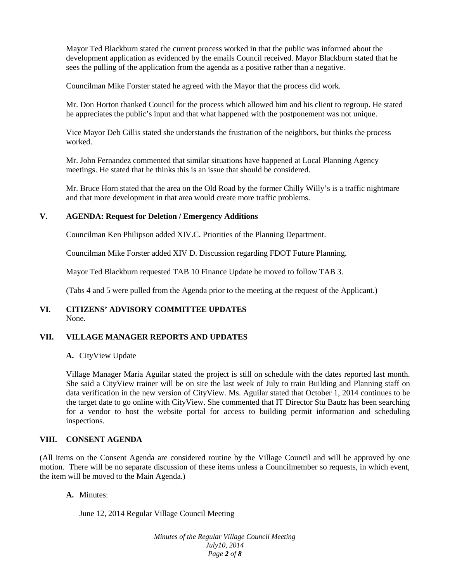Mayor Ted Blackburn stated the current process worked in that the public was informed about the development application as evidenced by the emails Council received. Mayor Blackburn stated that he sees the pulling of the application from the agenda as a positive rather than a negative.

Councilman Mike Forster stated he agreed with the Mayor that the process did work.

Mr. Don Horton thanked Council for the process which allowed him and his client to regroup. He stated he appreciates the public's input and that what happened with the postponement was not unique.

Vice Mayor Deb Gillis stated she understands the frustration of the neighbors, but thinks the process worked.

Mr. John Fernandez commented that similar situations have happened at Local Planning Agency meetings. He stated that he thinks this is an issue that should be considered.

Mr. Bruce Horn stated that the area on the Old Road by the former Chilly Willy's is a traffic nightmare and that more development in that area would create more traffic problems.

### **V. AGENDA: Request for Deletion / Emergency Additions**

Councilman Ken Philipson added XIV.C. Priorities of the Planning Department.

Councilman Mike Forster added XIV D. Discussion regarding FDOT Future Planning.

Mayor Ted Blackburn requested TAB 10 Finance Update be moved to follow TAB 3.

(Tabs 4 and 5 were pulled from the Agenda prior to the meeting at the request of the Applicant.)

### **VI. CITIZENS' ADVISORY COMMITTEE UPDATES** None.

### **VII. VILLAGE MANAGER REPORTS AND UPDATES**

### **A.** CityView Update

Village Manager Maria Aguilar stated the project is still on schedule with the dates reported last month. She said a CityView trainer will be on site the last week of July to train Building and Planning staff on data verification in the new version of CityView. Ms. Aguilar stated that October 1, 2014 continues to be the target date to go online with CityView. She commented that IT Director Stu Bautz has been searching for a vendor to host the website portal for access to building permit information and scheduling inspections.

#### **VIII. CONSENT AGENDA**

(All items on the Consent Agenda are considered routine by the Village Council and will be approved by one motion. There will be no separate discussion of these items unless a Councilmember so requests, in which event, the item will be moved to the Main Agenda.)

**A.** Minutes:

June 12, 2014 Regular Village Council Meeting

*Minutes of the Regular Village Council Meeting July10, 2014 Page 2 of 8*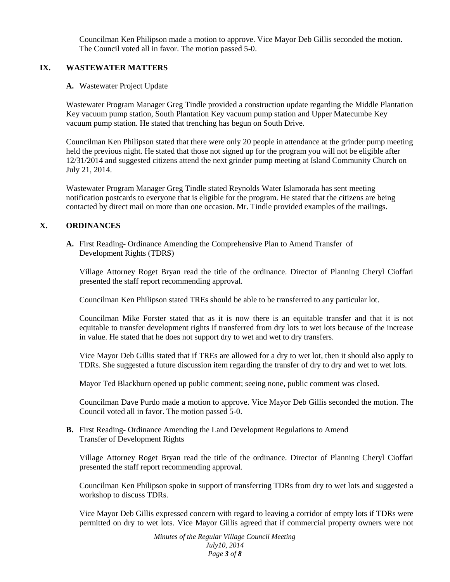Councilman Ken Philipson made a motion to approve. Vice Mayor Deb Gillis seconded the motion. The Council voted all in favor. The motion passed 5-0.

### **IX. WASTEWATER MATTERS**

### **A.** Wastewater Project Update

Wastewater Program Manager Greg Tindle provided a construction update regarding the Middle Plantation Key vacuum pump station, South Plantation Key vacuum pump station and Upper Matecumbe Key vacuum pump station. He stated that trenching has begun on South Drive.

Councilman Ken Philipson stated that there were only 20 people in attendance at the grinder pump meeting held the previous night. He stated that those not signed up for the program you will not be eligible after 12/31/2014 and suggested citizens attend the next grinder pump meeting at Island Community Church on July 21, 2014.

Wastewater Program Manager Greg Tindle stated Reynolds Water Islamorada has sent meeting notification postcards to everyone that is eligible for the program. He stated that the citizens are being contacted by direct mail on more than one occasion. Mr. Tindle provided examples of the mailings.

## **X. ORDINANCES**

**A.** First Reading- Ordinance Amending the Comprehensive Plan to Amend Transfer of Development Rights (TDRS)

Village Attorney Roget Bryan read the title of the ordinance. Director of Planning Cheryl Cioffari presented the staff report recommending approval.

Councilman Ken Philipson stated TREs should be able to be transferred to any particular lot.

Councilman Mike Forster stated that as it is now there is an equitable transfer and that it is not equitable to transfer development rights if transferred from dry lots to wet lots because of the increase in value. He stated that he does not support dry to wet and wet to dry transfers.

Vice Mayor Deb Gillis stated that if TREs are allowed for a dry to wet lot, then it should also apply to TDRs. She suggested a future discussion item regarding the transfer of dry to dry and wet to wet lots.

Mayor Ted Blackburn opened up public comment; seeing none, public comment was closed.

Councilman Dave Purdo made a motion to approve. Vice Mayor Deb Gillis seconded the motion. The Council voted all in favor. The motion passed 5-0.

### **B.** First Reading- Ordinance Amending the Land Development Regulations to Amend Transfer of Development Rights

Village Attorney Roget Bryan read the title of the ordinance. Director of Planning Cheryl Cioffari presented the staff report recommending approval.

Councilman Ken Philipson spoke in support of transferring TDRs from dry to wet lots and suggested a workshop to discuss TDRs.

Vice Mayor Deb Gillis expressed concern with regard to leaving a corridor of empty lots if TDRs were permitted on dry to wet lots. Vice Mayor Gillis agreed that if commercial property owners were not

> *Minutes of the Regular Village Council Meeting July10, 2014 Page 3 of 8*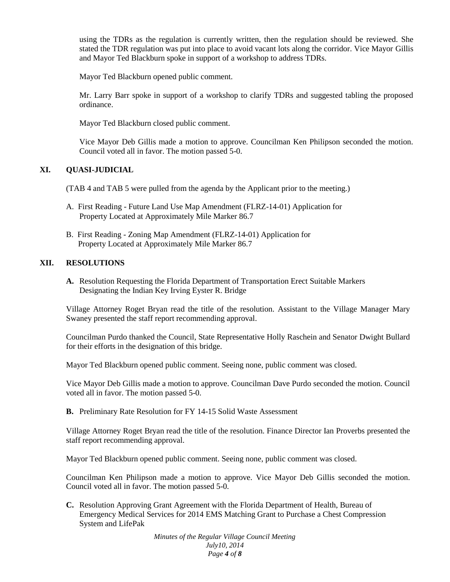using the TDRs as the regulation is currently written, then the regulation should be reviewed. She stated the TDR regulation was put into place to avoid vacant lots along the corridor. Vice Mayor Gillis and Mayor Ted Blackburn spoke in support of a workshop to address TDRs.

Mayor Ted Blackburn opened public comment.

Mr. Larry Barr spoke in support of a workshop to clarify TDRs and suggested tabling the proposed ordinance.

Mayor Ted Blackburn closed public comment.

Vice Mayor Deb Gillis made a motion to approve. Councilman Ken Philipson seconded the motion. Council voted all in favor. The motion passed 5-0.

# **XI. QUASI-JUDICIAL**

(TAB 4 and TAB 5 were pulled from the agenda by the Applicant prior to the meeting.)

- A. First Reading Future Land Use Map Amendment (FLRZ-14-01) Application for Property Located at Approximately Mile Marker 86.7
- B. First Reading Zoning Map Amendment (FLRZ-14-01) Application for Property Located at Approximately Mile Marker 86.7

### **XII. RESOLUTIONS**

**A.** Resolution Requesting the Florida Department of Transportation Erect Suitable Markers Designating the Indian Key Irving Eyster R. Bridge

Village Attorney Roget Bryan read the title of the resolution. Assistant to the Village Manager Mary Swaney presented the staff report recommending approval.

Councilman Purdo thanked the Council, State Representative Holly Raschein and Senator Dwight Bullard for their efforts in the designation of this bridge.

Mayor Ted Blackburn opened public comment. Seeing none, public comment was closed.

Vice Mayor Deb Gillis made a motion to approve. Councilman Dave Purdo seconded the motion. Council voted all in favor. The motion passed 5-0.

**B.** Preliminary Rate Resolution for FY 14-15 Solid Waste Assessment

Village Attorney Roget Bryan read the title of the resolution. Finance Director Ian Proverbs presented the staff report recommending approval.

Mayor Ted Blackburn opened public comment. Seeing none, public comment was closed.

Councilman Ken Philipson made a motion to approve. Vice Mayor Deb Gillis seconded the motion. Council voted all in favor. The motion passed 5-0.

**C.** Resolution Approving Grant Agreement with the Florida Department of Health, Bureau of Emergency Medical Services for 2014 EMS Matching Grant to Purchase a Chest Compression System and LifePak

> *Minutes of the Regular Village Council Meeting July10, 2014 Page 4 of 8*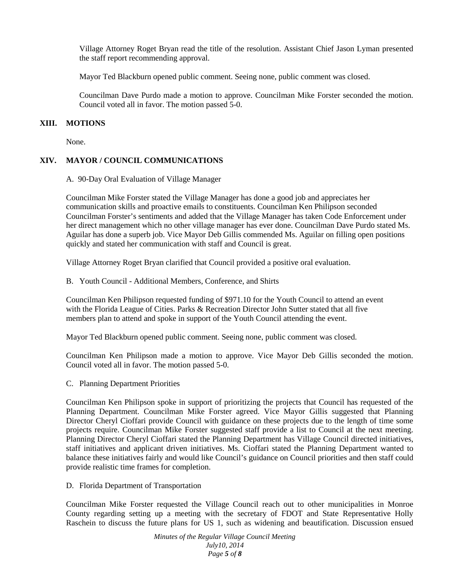Village Attorney Roget Bryan read the title of the resolution. Assistant Chief Jason Lyman presented the staff report recommending approval.

Mayor Ted Blackburn opened public comment. Seeing none, public comment was closed.

Councilman Dave Purdo made a motion to approve. Councilman Mike Forster seconded the motion. Council voted all in favor. The motion passed 5-0.

#### **XIII. MOTIONS**

None.

#### **XIV. MAYOR / COUNCIL COMMUNICATIONS**

A. 90-Day Oral Evaluation of Village Manager

Councilman Mike Forster stated the Village Manager has done a good job and appreciates her communication skills and proactive emails to constituents. Councilman Ken Philipson seconded Councilman Forster's sentiments and added that the Village Manager has taken Code Enforcement under her direct management which no other village manager has ever done. Councilman Dave Purdo stated Ms. Aguilar has done a superb job. Vice Mayor Deb Gillis commended Ms. Aguilar on filling open positions quickly and stated her communication with staff and Council is great.

Village Attorney Roget Bryan clarified that Council provided a positive oral evaluation.

B. Youth Council - Additional Members, Conference, and Shirts

Councilman Ken Philipson requested funding of \$971.10 for the Youth Council to attend an event with the Florida League of Cities. Parks & Recreation Director John Sutter stated that all five members plan to attend and spoke in support of the Youth Council attending the event.

Mayor Ted Blackburn opened public comment. Seeing none, public comment was closed.

Councilman Ken Philipson made a motion to approve. Vice Mayor Deb Gillis seconded the motion. Council voted all in favor. The motion passed 5-0.

C. Planning Department Priorities

Councilman Ken Philipson spoke in support of prioritizing the projects that Council has requested of the Planning Department. Councilman Mike Forster agreed. Vice Mayor Gillis suggested that Planning Director Cheryl Cioffari provide Council with guidance on these projects due to the length of time some projects require. Councilman Mike Forster suggested staff provide a list to Council at the next meeting. Planning Director Cheryl Cioffari stated the Planning Department has Village Council directed initiatives, staff initiatives and applicant driven initiatives. Ms. Cioffari stated the Planning Department wanted to balance these initiatives fairly and would like Council's guidance on Council priorities and then staff could provide realistic time frames for completion.

D. Florida Department of Transportation

Councilman Mike Forster requested the Village Council reach out to other municipalities in Monroe County regarding setting up a meeting with the secretary of FDOT and State Representative Holly Raschein to discuss the future plans for US 1, such as widening and beautification. Discussion ensued

> *Minutes of the Regular Village Council Meeting July10, 2014 Page 5 of 8*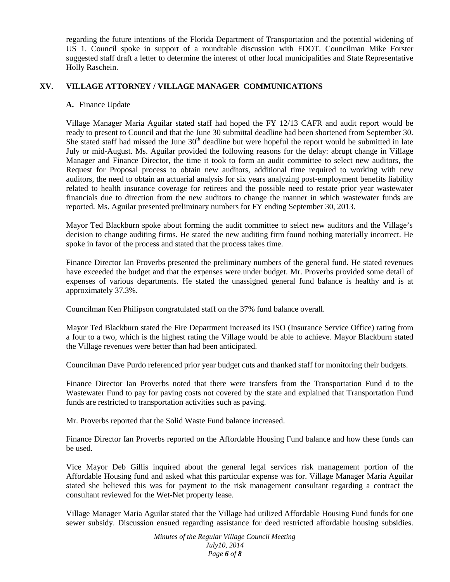regarding the future intentions of the Florida Department of Transportation and the potential widening of US 1. Council spoke in support of a roundtable discussion with FDOT. Councilman Mike Forster suggested staff draft a letter to determine the interest of other local municipalities and State Representative Holly Raschein.

## **XV. VILLAGE ATTORNEY / VILLAGE MANAGER COMMUNICATIONS**

#### **A.** Finance Update

Village Manager Maria Aguilar stated staff had hoped the FY 12/13 CAFR and audit report would be ready to present to Council and that the June 30 submittal deadline had been shortened from September 30. She stated staff had missed the June  $30<sup>th</sup>$  deadline but were hopeful the report would be submitted in late July or mid-August. Ms. Aguilar provided the following reasons for the delay: abrupt change in Village Manager and Finance Director, the time it took to form an audit committee to select new auditors, the Request for Proposal process to obtain new auditors, additional time required to working with new auditors, the need to obtain an actuarial analysis for six years analyzing post-employment benefits liability related to health insurance coverage for retirees and the possible need to restate prior year wastewater financials due to direction from the new auditors to change the manner in which wastewater funds are reported. Ms. Aguilar presented preliminary numbers for FY ending September 30, 2013.

Mayor Ted Blackburn spoke about forming the audit committee to select new auditors and the Village's decision to change auditing firms. He stated the new auditing firm found nothing materially incorrect. He spoke in favor of the process and stated that the process takes time.

Finance Director Ian Proverbs presented the preliminary numbers of the general fund. He stated revenues have exceeded the budget and that the expenses were under budget. Mr. Proverbs provided some detail of expenses of various departments. He stated the unassigned general fund balance is healthy and is at approximately 37.3%.

Councilman Ken Philipson congratulated staff on the 37% fund balance overall.

Mayor Ted Blackburn stated the Fire Department increased its ISO (Insurance Service Office) rating from a four to a two, which is the highest rating the Village would be able to achieve. Mayor Blackburn stated the Village revenues were better than had been anticipated.

Councilman Dave Purdo referenced prior year budget cuts and thanked staff for monitoring their budgets.

Finance Director Ian Proverbs noted that there were transfers from the Transportation Fund d to the Wastewater Fund to pay for paving costs not covered by the state and explained that Transportation Fund funds are restricted to transportation activities such as paving.

Mr. Proverbs reported that the Solid Waste Fund balance increased.

Finance Director Ian Proverbs reported on the Affordable Housing Fund balance and how these funds can be used.

Vice Mayor Deb Gillis inquired about the general legal services risk management portion of the Affordable Housing fund and asked what this particular expense was for. Village Manager Maria Aguilar stated she believed this was for payment to the risk management consultant regarding a contract the consultant reviewed for the Wet-Net property lease.

Village Manager Maria Aguilar stated that the Village had utilized Affordable Housing Fund funds for one sewer subsidy. Discussion ensued regarding assistance for deed restricted affordable housing subsidies.

> *Minutes of the Regular Village Council Meeting July10, 2014 Page 6 of 8*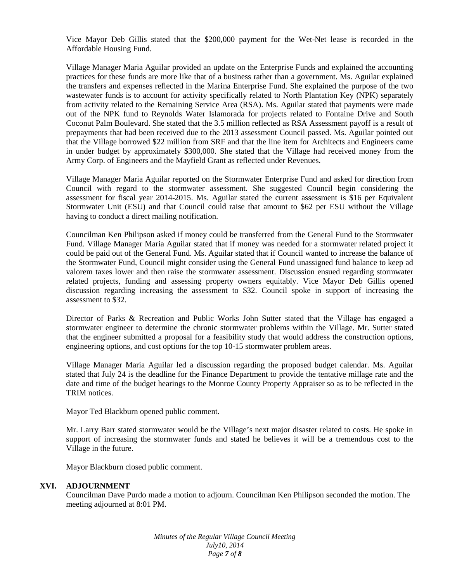Vice Mayor Deb Gillis stated that the \$200,000 payment for the Wet-Net lease is recorded in the Affordable Housing Fund.

Village Manager Maria Aguilar provided an update on the Enterprise Funds and explained the accounting practices for these funds are more like that of a business rather than a government. Ms. Aguilar explained the transfers and expenses reflected in the Marina Enterprise Fund. She explained the purpose of the two wastewater funds is to account for activity specifically related to North Plantation Key (NPK) separately from activity related to the Remaining Service Area (RSA). Ms. Aguilar stated that payments were made out of the NPK fund to Reynolds Water Islamorada for projects related to Fontaine Drive and South Coconut Palm Boulevard. She stated that the 3.5 million reflected as RSA Assessment payoff is a result of prepayments that had been received due to the 2013 assessment Council passed. Ms. Aguilar pointed out that the Village borrowed \$22 million from SRF and that the line item for Architects and Engineers came in under budget by approximately \$300,000. She stated that the Village had received money from the Army Corp. of Engineers and the Mayfield Grant as reflected under Revenues.

Village Manager Maria Aguilar reported on the Stormwater Enterprise Fund and asked for direction from Council with regard to the stormwater assessment. She suggested Council begin considering the assessment for fiscal year 2014-2015. Ms. Aguilar stated the current assessment is \$16 per Equivalent Stormwater Unit (ESU) and that Council could raise that amount to \$62 per ESU without the Village having to conduct a direct mailing notification.

Councilman Ken Philipson asked if money could be transferred from the General Fund to the Stormwater Fund. Village Manager Maria Aguilar stated that if money was needed for a stormwater related project it could be paid out of the General Fund. Ms. Aguilar stated that if Council wanted to increase the balance of the Stormwater Fund, Council might consider using the General Fund unassigned fund balance to keep ad valorem taxes lower and then raise the stormwater assessment. Discussion ensued regarding stormwater related projects, funding and assessing property owners equitably. Vice Mayor Deb Gillis opened discussion regarding increasing the assessment to \$32. Council spoke in support of increasing the assessment to \$32.

Director of Parks & Recreation and Public Works John Sutter stated that the Village has engaged a stormwater engineer to determine the chronic stormwater problems within the Village. Mr. Sutter stated that the engineer submitted a proposal for a feasibility study that would address the construction options, engineering options, and cost options for the top 10-15 stormwater problem areas.

Village Manager Maria Aguilar led a discussion regarding the proposed budget calendar. Ms. Aguilar stated that July 24 is the deadline for the Finance Department to provide the tentative millage rate and the date and time of the budget hearings to the Monroe County Property Appraiser so as to be reflected in the TRIM notices.

Mayor Ted Blackburn opened public comment.

Mr. Larry Barr stated stormwater would be the Village's next major disaster related to costs. He spoke in support of increasing the stormwater funds and stated he believes it will be a tremendous cost to the Village in the future.

Mayor Blackburn closed public comment.

#### **XVI. ADJOURNMENT**

Councilman Dave Purdo made a motion to adjourn. Councilman Ken Philipson seconded the motion. The meeting adjourned at 8:01 PM.

> *Minutes of the Regular Village Council Meeting July10, 2014 Page 7 of 8*